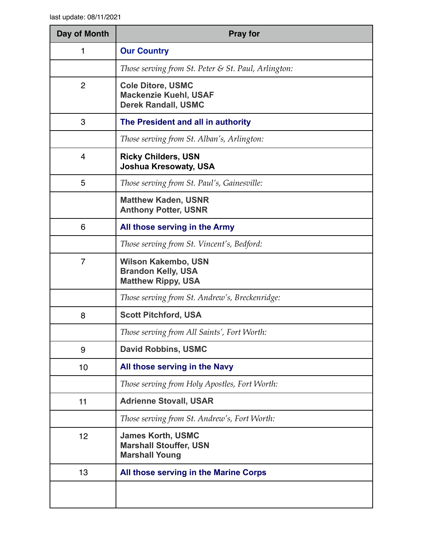| Day of Month   | <b>Pray for</b>                                                                        |
|----------------|----------------------------------------------------------------------------------------|
| 1              | <b>Our Country</b>                                                                     |
|                | Those serving from St. Peter & St. Paul, Arlington:                                    |
| $\overline{2}$ | <b>Cole Ditore, USMC</b><br><b>Mackenzie Kuehl, USAF</b><br><b>Derek Randall, USMC</b> |
| 3              | The President and all in authority                                                     |
|                | Those serving from St. Alban's, Arlington:                                             |
| $\overline{4}$ | <b>Ricky Childers, USN</b><br><b>Joshua Kresowaty, USA</b>                             |
| 5              | Those serving from St. Paul's, Gainesville:                                            |
|                | <b>Matthew Kaden, USNR</b><br><b>Anthony Potter, USNR</b>                              |
| 6              | All those serving in the Army                                                          |
|                | Those serving from St. Vincent's, Bedford:                                             |
| 7              | <b>Wilson Kakembo, USN</b><br><b>Brandon Kelly, USA</b><br><b>Matthew Rippy, USA</b>   |
|                | Those serving from St. Andrew's, Breckenridge:                                         |
| 8              | <b>Scott Pitchford, USA</b>                                                            |
|                | Those serving from All Saints', Fort Worth:                                            |
| 9              | <b>David Robbins, USMC</b>                                                             |
| 10             | All those serving in the Navy                                                          |
|                | Those serving from Holy Apostles, Fort Worth:                                          |
| 11             | <b>Adrienne Stovall, USAR</b>                                                          |
|                | Those serving from St. Andrew's, Fort Worth:                                           |
| 12             | <b>James Korth, USMC</b><br><b>Marshall Stouffer, USN</b><br><b>Marshall Young</b>     |
| 13             | All those serving in the Marine Corps                                                  |
|                |                                                                                        |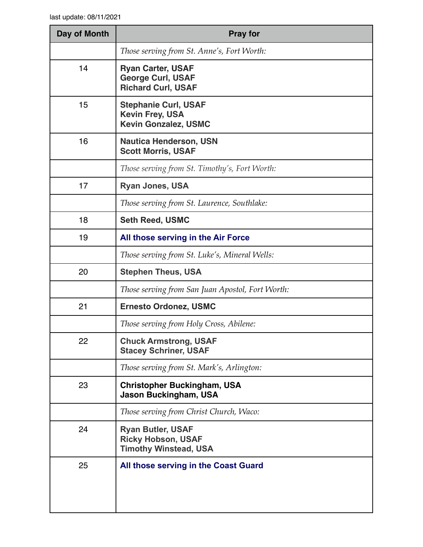| Day of Month | <b>Pray for</b>                                                                       |
|--------------|---------------------------------------------------------------------------------------|
|              | Those serving from St. Anne's, Fort Worth:                                            |
| 14           | <b>Ryan Carter, USAF</b><br><b>George Curl, USAF</b><br><b>Richard Curl, USAF</b>     |
| 15           | <b>Stephanie Curl, USAF</b><br><b>Kevin Frey, USA</b><br><b>Kevin Gonzalez, USMC</b>  |
| 16           | <b>Nautica Henderson, USN</b><br><b>Scott Morris, USAF</b>                            |
|              | Those serving from St. Timothy's, Fort Worth:                                         |
| 17           | <b>Ryan Jones, USA</b>                                                                |
|              | Those serving from St. Laurence, Southlake:                                           |
| 18           | <b>Seth Reed, USMC</b>                                                                |
| 19           | All those serving in the Air Force                                                    |
|              | Those serving from St. Luke's, Mineral Wells:                                         |
| 20           | <b>Stephen Theus, USA</b>                                                             |
|              | Those serving from San Juan Apostol, Fort Worth:                                      |
| 21           | <b>Ernesto Ordonez, USMC</b>                                                          |
|              | Those serving from Holy Cross, Abilene:                                               |
| 22           | <b>Chuck Armstrong, USAF</b><br><b>Stacey Schriner, USAF</b>                          |
|              | Those serving from St. Mark's, Arlington:                                             |
| 23           | <b>Christopher Buckingham, USA</b><br>Jason Buckingham, USA                           |
|              | Those serving from Christ Church, Waco:                                               |
| 24           | <b>Ryan Butler, USAF</b><br><b>Ricky Hobson, USAF</b><br><b>Timothy Winstead, USA</b> |
| 25           | All those serving in the Coast Guard                                                  |